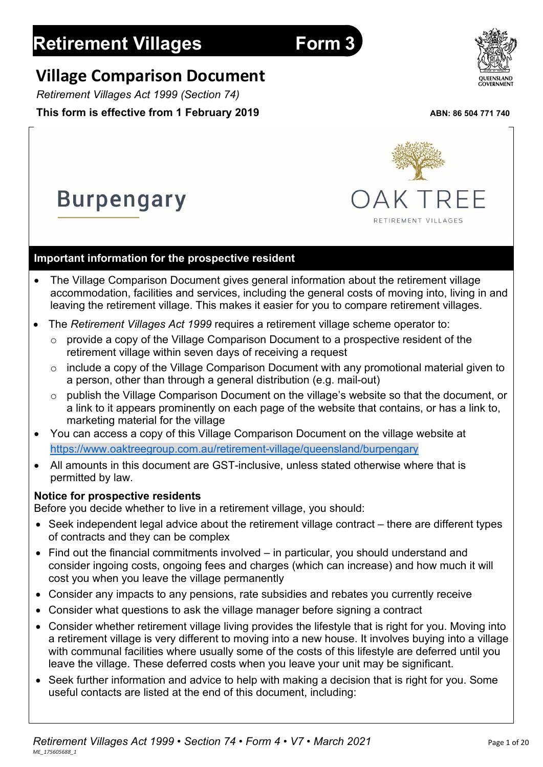# **Retirement Villages Form 3**

**Burpengary** 

# **Village Comparison Document**

*Retirement Villages Act 1999 (Section 74)*

## **This form is effective from 1 February 2019** ABN: 86 504 771 740

## **Important information for the prospective resident**

- The Village Comparison Document gives general information about the retirement village accommodation, facilities and services, including the general costs of moving into, living in and leaving the retirement village. This makes it easier for you to compare retirement villages.
- The *Retirement Villages Act 1999* requires a retirement village scheme operator to:
	- $\circ$  provide a copy of the Village Comparison Document to a prospective resident of the retirement village within seven days of receiving a request
	- o include a copy of the Village Comparison Document with any promotional material given to a person, other than through a general distribution (e.g. mail-out)
	- o publish the Village Comparison Document on the village's website so that the document, or a link to it appears prominently on each page of the website that contains, or has a link to, marketing material for the village
- You can access a copy of this Village Comparison Document on the village website at <https://www.oaktreegroup.com.au/retirement-village/queensland/burpengary>
- All amounts in this document are GST-inclusive, unless stated otherwise where that is permitted by law.

## **Notice for prospective residents**

Before you decide whether to live in a retirement village, you should:

- Seek independent legal advice about the retirement village contract there are different types of contracts and they can be complex
- Find out the financial commitments involved in particular, you should understand and consider ingoing costs, ongoing fees and charges (which can increase) and how much it will cost you when you leave the village permanently
- Consider any impacts to any pensions, rate subsidies and rebates you currently receive
- Consider what questions to ask the village manager before signing a contract
- Consider whether retirement village living provides the lifestyle that is right for you. Moving into a retirement village is very different to moving into a new house. It involves buying into a village with communal facilities where usually some of the costs of this lifestyle are deferred until you leave the village. These deferred costs when you leave your unit may be significant.
- Seek further information and advice to help with making a decision that is right for you. Some useful contacts are listed at the end of this document, including:



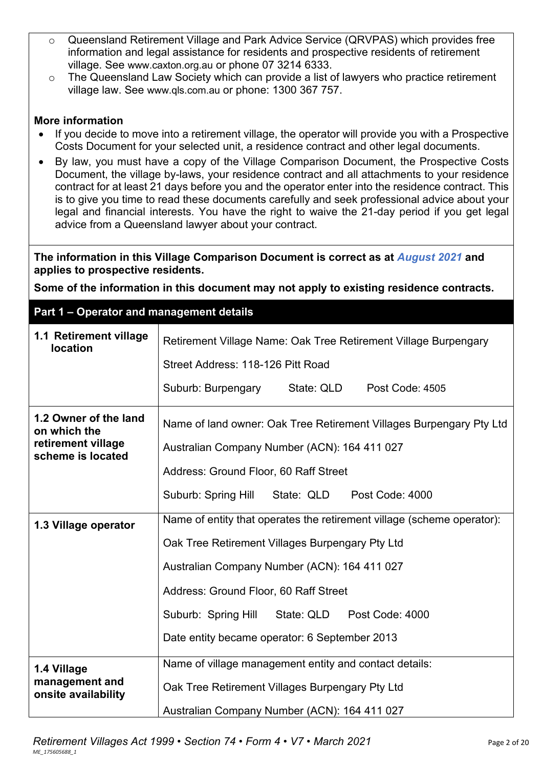- o Queensland Retirement Village and Park Advice Service (QRVPAS) which provides free information and legal assistance for residents and prospective residents of retirement village. See [www.caxton.org.au](http://www.caxton.org.au/) or phone 07 3214 6333.
- o The Queensland Law Society which can provide a list of lawyers who practice retirement village law. See [www.qls.com.au](http://www.qls.com.au/) or phone: 1300 367 757.

#### **More information**

- If you decide to move into a retirement village, the operator will provide you with a Prospective Costs Document for your selected unit, a residence contract and other legal documents.
- By law, you must have a copy of the Village Comparison Document, the Prospective Costs Document, the village by-laws, your residence contract and all attachments to your residence contract for at least 21 days before you and the operator enter into the residence contract. This is to give you time to read these documents carefully and seek professional advice about your legal and financial interests. You have the right to waive the 21-day period if you get legal advice from a Queensland lawyer about your contract.

**The information in this Village Comparison Document is correct as at** *August 2021* **and applies to prospective residents.**

**Some of the information in this document may not apply to existing residence contracts.**

#### **Part 1 – Operator and management details**

| 1.1 Retirement village<br><b>location</b>                                        | Retirement Village Name: Oak Tree Retirement Village Burpengary                                                     |  |  |  |  |
|----------------------------------------------------------------------------------|---------------------------------------------------------------------------------------------------------------------|--|--|--|--|
|                                                                                  | Street Address: 118-126 Pitt Road                                                                                   |  |  |  |  |
|                                                                                  | Suburb: Burpengary<br>State: QLD<br>Post Code: 4505                                                                 |  |  |  |  |
| 1.2 Owner of the land<br>on which the<br>retirement village<br>scheme is located | Name of land owner: Oak Tree Retirement Villages Burpengary Pty Ltd<br>Australian Company Number (ACN): 164 411 027 |  |  |  |  |
|                                                                                  | Address: Ground Floor, 60 Raff Street                                                                               |  |  |  |  |
|                                                                                  | Suburb: Spring Hill<br>State: QLD<br>Post Code: 4000                                                                |  |  |  |  |
| 1.3 Village operator                                                             | Name of entity that operates the retirement village (scheme operator):                                              |  |  |  |  |
|                                                                                  | Oak Tree Retirement Villages Burpengary Pty Ltd                                                                     |  |  |  |  |
|                                                                                  | Australian Company Number (ACN): 164 411 027                                                                        |  |  |  |  |
|                                                                                  | Address: Ground Floor, 60 Raff Street                                                                               |  |  |  |  |
|                                                                                  | Suburb: Spring Hill State: QLD<br>Post Code: 4000                                                                   |  |  |  |  |
|                                                                                  | Date entity became operator: 6 September 2013                                                                       |  |  |  |  |
| 1.4 Village                                                                      | Name of village management entity and contact details:                                                              |  |  |  |  |
| management and<br>onsite availability                                            | Oak Tree Retirement Villages Burpengary Pty Ltd                                                                     |  |  |  |  |
|                                                                                  | Australian Company Number (ACN): 164 411 027                                                                        |  |  |  |  |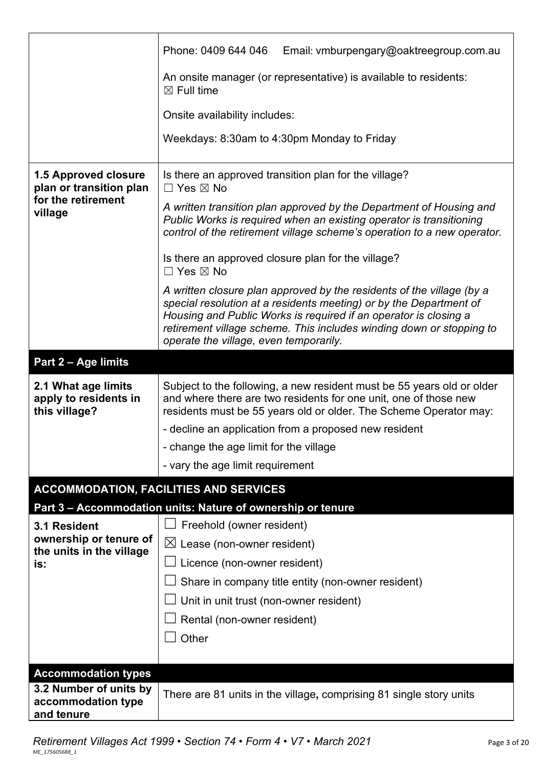|                                                               | Phone: 0409 644 046<br>Email: vmburpengary@oaktreegroup.com.au                                                                                                                                                                                                                                                                    |  |  |  |  |
|---------------------------------------------------------------|-----------------------------------------------------------------------------------------------------------------------------------------------------------------------------------------------------------------------------------------------------------------------------------------------------------------------------------|--|--|--|--|
|                                                               | An onsite manager (or representative) is available to residents:<br>$\boxtimes$ Full time                                                                                                                                                                                                                                         |  |  |  |  |
|                                                               | Onsite availability includes:                                                                                                                                                                                                                                                                                                     |  |  |  |  |
|                                                               | Weekdays: 8:30am to 4:30pm Monday to Friday                                                                                                                                                                                                                                                                                       |  |  |  |  |
| <b>1.5 Approved closure</b><br>plan or transition plan        | Is there an approved transition plan for the village?<br>$\Box$ Yes $\boxtimes$ No                                                                                                                                                                                                                                                |  |  |  |  |
| for the retirement<br>village                                 | A written transition plan approved by the Department of Housing and<br>Public Works is required when an existing operator is transitioning<br>control of the retirement village scheme's operation to a new operator.                                                                                                             |  |  |  |  |
|                                                               | Is there an approved closure plan for the village?<br>$\Box$ Yes $\boxtimes$ No                                                                                                                                                                                                                                                   |  |  |  |  |
|                                                               | A written closure plan approved by the residents of the village (by a<br>special resolution at a residents meeting) or by the Department of<br>Housing and Public Works is required if an operator is closing a<br>retirement village scheme. This includes winding down or stopping to<br>operate the village, even temporarily. |  |  |  |  |
| Part 2 - Age limits                                           |                                                                                                                                                                                                                                                                                                                                   |  |  |  |  |
| 2.1 What age limits<br>apply to residents in<br>this village? | Subject to the following, a new resident must be 55 years old or older<br>and where there are two residents for one unit, one of those new<br>residents must be 55 years old or older. The Scheme Operator may:                                                                                                                   |  |  |  |  |
|                                                               | - decline an application from a proposed new resident                                                                                                                                                                                                                                                                             |  |  |  |  |
|                                                               |                                                                                                                                                                                                                                                                                                                                   |  |  |  |  |
|                                                               | - change the age limit for the village                                                                                                                                                                                                                                                                                            |  |  |  |  |
|                                                               | - vary the age limit requirement                                                                                                                                                                                                                                                                                                  |  |  |  |  |
|                                                               | <b>ACCOMMODATION, FACILITIES AND SERVICES</b>                                                                                                                                                                                                                                                                                     |  |  |  |  |
|                                                               | Part 3 - Accommodation units: Nature of ownership or tenure                                                                                                                                                                                                                                                                       |  |  |  |  |
| 3.1 Resident                                                  | Freehold (owner resident)                                                                                                                                                                                                                                                                                                         |  |  |  |  |
| ownership or tenure of                                        | $\boxtimes$ Lease (non-owner resident)                                                                                                                                                                                                                                                                                            |  |  |  |  |
| the units in the village<br>is:                               | Licence (non-owner resident)                                                                                                                                                                                                                                                                                                      |  |  |  |  |
|                                                               | Share in company title entity (non-owner resident)                                                                                                                                                                                                                                                                                |  |  |  |  |
|                                                               | Unit in unit trust (non-owner resident)                                                                                                                                                                                                                                                                                           |  |  |  |  |
|                                                               | Rental (non-owner resident)                                                                                                                                                                                                                                                                                                       |  |  |  |  |
|                                                               | Other                                                                                                                                                                                                                                                                                                                             |  |  |  |  |
|                                                               |                                                                                                                                                                                                                                                                                                                                   |  |  |  |  |
| <b>Accommodation types</b><br>3.2 Number of units by          |                                                                                                                                                                                                                                                                                                                                   |  |  |  |  |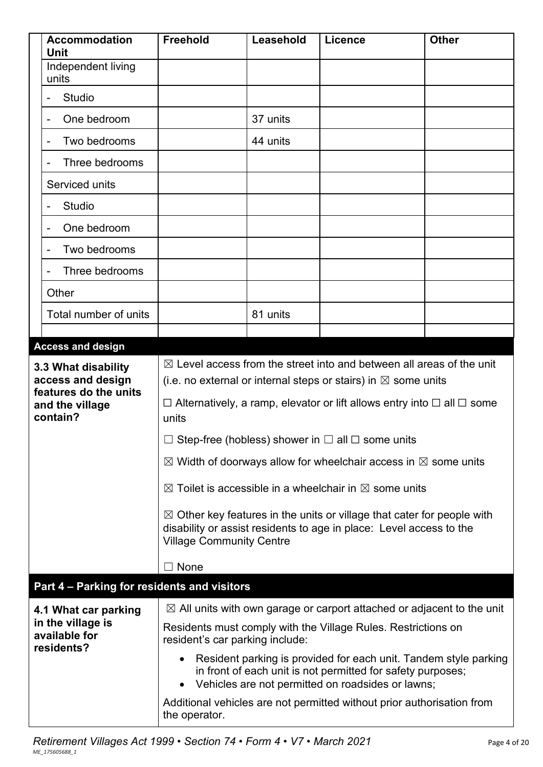|                             | <b>Accommodation</b><br><b>Unit</b>              | <b>Freehold</b>                                                                                                                                                                                                | Leasehold | Licence                                                       | <b>Other</b> |
|-----------------------------|--------------------------------------------------|----------------------------------------------------------------------------------------------------------------------------------------------------------------------------------------------------------------|-----------|---------------------------------------------------------------|--------------|
|                             | Independent living<br>units                      |                                                                                                                                                                                                                |           |                                                               |              |
|                             | <b>Studio</b>                                    |                                                                                                                                                                                                                |           |                                                               |              |
|                             | One bedroom<br>-                                 |                                                                                                                                                                                                                | 37 units  |                                                               |              |
|                             | Two bedrooms<br>$\qquad \qquad \blacksquare$     |                                                                                                                                                                                                                | 44 units  |                                                               |              |
|                             | Three bedrooms                                   |                                                                                                                                                                                                                |           |                                                               |              |
|                             | Serviced units                                   |                                                                                                                                                                                                                |           |                                                               |              |
|                             | <b>Studio</b>                                    |                                                                                                                                                                                                                |           |                                                               |              |
|                             | One bedroom                                      |                                                                                                                                                                                                                |           |                                                               |              |
|                             | Two bedrooms                                     |                                                                                                                                                                                                                |           |                                                               |              |
|                             | Three bedrooms                                   |                                                                                                                                                                                                                |           |                                                               |              |
|                             | Other                                            |                                                                                                                                                                                                                |           |                                                               |              |
|                             | Total number of units                            |                                                                                                                                                                                                                | 81 units  |                                                               |              |
|                             |                                                  |                                                                                                                                                                                                                |           |                                                               |              |
| <b>Access and design</b>    |                                                  |                                                                                                                                                                                                                |           |                                                               |              |
|                             | 3.3 What disability<br>access and design         | $\boxtimes$ Level access from the street into and between all areas of the unit<br>(i.e. no external or internal steps or stairs) in $\boxtimes$ some units                                                    |           |                                                               |              |
|                             | features do the units                            | $\Box$ Alternatively, a ramp, elevator or lift allows entry into $\Box$ all $\Box$ some                                                                                                                        |           |                                                               |              |
| and the village<br>contain? |                                                  | units                                                                                                                                                                                                          |           |                                                               |              |
|                             |                                                  | $\Box$ Step-free (hobless) shower in $\Box$ all $\Box$ some units                                                                                                                                              |           |                                                               |              |
|                             |                                                  | $\boxtimes$ Width of doorways allow for wheelchair access in $\boxtimes$ some units                                                                                                                            |           |                                                               |              |
|                             |                                                  | $\boxtimes$ Toilet is accessible in a wheelchair in $\boxtimes$ some units                                                                                                                                     |           |                                                               |              |
|                             |                                                  | $\boxtimes$ Other key features in the units or village that cater for people with<br>disability or assist residents to age in place: Level access to the<br><b>Village Community Centre</b>                    |           |                                                               |              |
|                             |                                                  | $\sqsupset$ None                                                                                                                                                                                               |           |                                                               |              |
|                             | Part 4 - Parking for residents and visitors      |                                                                                                                                                                                                                |           |                                                               |              |
|                             | 4.1 What car parking                             | $\boxtimes$ All units with own garage or carport attached or adjacent to the unit                                                                                                                              |           |                                                               |              |
|                             | in the village is<br>available for<br>residents? | resident's car parking include:                                                                                                                                                                                |           | Residents must comply with the Village Rules. Restrictions on |              |
|                             |                                                  | Resident parking is provided for each unit. Tandem style parking<br>$\bullet$<br>in front of each unit is not permitted for safety purposes;<br>Vehicles are not permitted on roadsides or lawns;<br>$\bullet$ |           |                                                               |              |
|                             |                                                  | Additional vehicles are not permitted without prior authorisation from<br>the operator.                                                                                                                        |           |                                                               |              |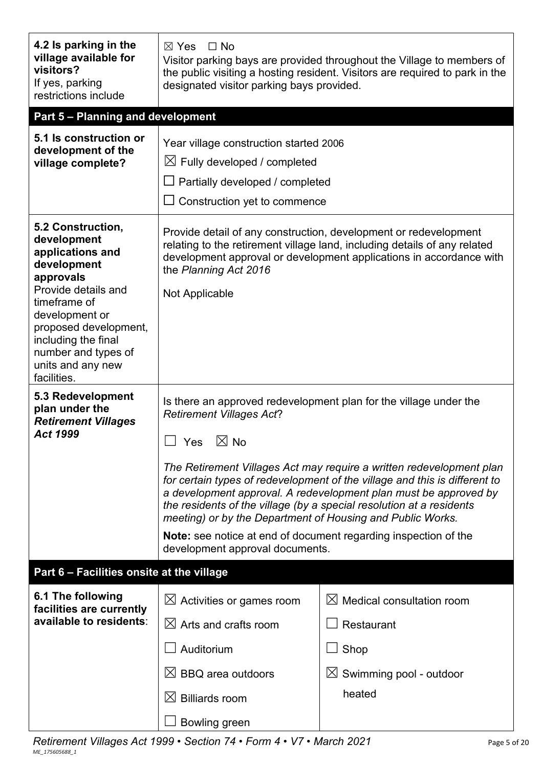| 4.2 Is parking in the<br>village available for<br>visitors?<br>If yes, parking<br>restrictions include                                                                                                                                               | $\boxtimes$ Yes<br>$\square$ No<br>Visitor parking bays are provided throughout the Village to members of<br>the public visiting a hosting resident. Visitors are required to park in the<br>designated visitor parking bays provided.                                                                                                                                                                                                                                                                                                                                                                            |                                                             |  |
|------------------------------------------------------------------------------------------------------------------------------------------------------------------------------------------------------------------------------------------------------|-------------------------------------------------------------------------------------------------------------------------------------------------------------------------------------------------------------------------------------------------------------------------------------------------------------------------------------------------------------------------------------------------------------------------------------------------------------------------------------------------------------------------------------------------------------------------------------------------------------------|-------------------------------------------------------------|--|
| Part 5 - Planning and development                                                                                                                                                                                                                    |                                                                                                                                                                                                                                                                                                                                                                                                                                                                                                                                                                                                                   |                                                             |  |
| 5.1 Is construction or<br>development of the<br>village complete?                                                                                                                                                                                    | Year village construction started 2006<br>$\boxtimes$ Fully developed / completed<br>$\Box$ Partially developed / completed<br>Construction yet to commence                                                                                                                                                                                                                                                                                                                                                                                                                                                       |                                                             |  |
| 5.2 Construction,<br>development<br>applications and<br>development<br>approvals<br>Provide details and<br>timeframe of<br>development or<br>proposed development,<br>including the final<br>number and types of<br>units and any new<br>facilities. | Provide detail of any construction, development or redevelopment<br>relating to the retirement village land, including details of any related<br>development approval or development applications in accordance with<br>the Planning Act 2016<br><b>Not Applicable</b>                                                                                                                                                                                                                                                                                                                                            |                                                             |  |
| 5.3 Redevelopment<br>plan under the<br><b>Retirement Villages</b><br><b>Act 1999</b>                                                                                                                                                                 | Is there an approved redevelopment plan for the village under the<br><b>Retirement Villages Act?</b><br>$\boxtimes$ No<br>$\Box$ Yes<br>The Retirement Villages Act may require a written redevelopment plan<br>for certain types of redevelopment of the village and this is different to<br>a development approval. A redevelopment plan must be approved by<br>the residents of the village (by a special resolution at a residents<br>meeting) or by the Department of Housing and Public Works.<br><b>Note:</b> see notice at end of document regarding inspection of the<br>development approval documents. |                                                             |  |
| Part 6 - Facilities onsite at the village                                                                                                                                                                                                            |                                                                                                                                                                                                                                                                                                                                                                                                                                                                                                                                                                                                                   |                                                             |  |
| 6.1 The following<br>facilities are currently<br>available to residents:                                                                                                                                                                             | $\boxtimes$ Activities or games room<br>$\boxtimes$ Arts and crafts room<br>Auditorium                                                                                                                                                                                                                                                                                                                                                                                                                                                                                                                            | $\boxtimes$ Medical consultation room<br>Restaurant<br>Shop |  |
|                                                                                                                                                                                                                                                      | $\boxtimes$ BBQ area outdoors<br>$\boxtimes$ Billiards room<br>Bowling green                                                                                                                                                                                                                                                                                                                                                                                                                                                                                                                                      | $\boxtimes$ Swimming pool - outdoor<br>heated               |  |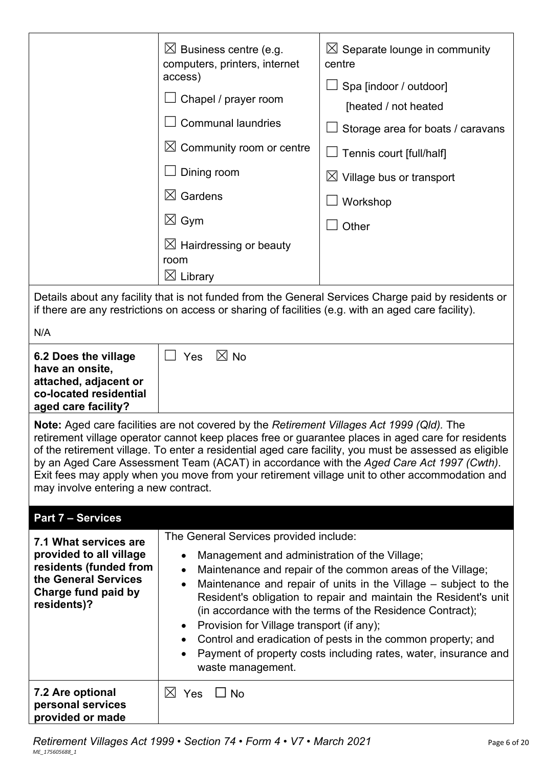|                                                                                                                                                                                                                                                                                                                                                                                                                                                                                                                                                        | $\boxtimes$ Business centre (e.g.<br>computers, printers, internet<br>access)<br>Chapel / prayer room<br><b>Communal laundries</b><br>$\boxtimes$ Community room or centre<br>Dining room<br>$\boxtimes$ Gardens<br>$\boxtimes$ Gym<br>$\boxtimes$ Hairdressing or beauty<br>room<br>$\boxtimes$ Library                                                                                                                                                                                                                                                                      | $\boxtimes$ Separate lounge in community<br>centre<br>Spa [indoor / outdoor]<br>[heated / not heated<br>Storage area for boats / caravans<br>Tennis court [full/half]<br>$\boxtimes$ Village bus or transport<br>Workshop<br>Other<br>Details about any facility that is not funded from the General Services Charge paid by residents or |  |  |
|--------------------------------------------------------------------------------------------------------------------------------------------------------------------------------------------------------------------------------------------------------------------------------------------------------------------------------------------------------------------------------------------------------------------------------------------------------------------------------------------------------------------------------------------------------|-------------------------------------------------------------------------------------------------------------------------------------------------------------------------------------------------------------------------------------------------------------------------------------------------------------------------------------------------------------------------------------------------------------------------------------------------------------------------------------------------------------------------------------------------------------------------------|-------------------------------------------------------------------------------------------------------------------------------------------------------------------------------------------------------------------------------------------------------------------------------------------------------------------------------------------|--|--|
|                                                                                                                                                                                                                                                                                                                                                                                                                                                                                                                                                        | if there are any restrictions on access or sharing of facilities (e.g. with an aged care facility).                                                                                                                                                                                                                                                                                                                                                                                                                                                                           |                                                                                                                                                                                                                                                                                                                                           |  |  |
| N/A                                                                                                                                                                                                                                                                                                                                                                                                                                                                                                                                                    |                                                                                                                                                                                                                                                                                                                                                                                                                                                                                                                                                                               |                                                                                                                                                                                                                                                                                                                                           |  |  |
| 6.2 Does the village<br>have an onsite,<br>attached, adjacent or<br>co-located residential<br>aged care facility?                                                                                                                                                                                                                                                                                                                                                                                                                                      | $\boxtimes$ No<br>Yes<br>$\Box$                                                                                                                                                                                                                                                                                                                                                                                                                                                                                                                                               |                                                                                                                                                                                                                                                                                                                                           |  |  |
| <b>Note:</b> Aged care facilities are not covered by the Retirement Villages Act 1999 (Qld). The<br>retirement village operator cannot keep places free or guarantee places in aged care for residents<br>of the retirement village. To enter a residential aged care facility, you must be assessed as eligible<br>by an Aged Care Assessment Team (ACAT) in accordance with the Aged Care Act 1997 (Cwth).<br>Exit fees may apply when you move from your retirement village unit to other accommodation and<br>may involve entering a new contract. |                                                                                                                                                                                                                                                                                                                                                                                                                                                                                                                                                                               |                                                                                                                                                                                                                                                                                                                                           |  |  |
| <b>Part 7 - Services</b>                                                                                                                                                                                                                                                                                                                                                                                                                                                                                                                               |                                                                                                                                                                                                                                                                                                                                                                                                                                                                                                                                                                               |                                                                                                                                                                                                                                                                                                                                           |  |  |
| 7.1 What services are                                                                                                                                                                                                                                                                                                                                                                                                                                                                                                                                  | The General Services provided include:                                                                                                                                                                                                                                                                                                                                                                                                                                                                                                                                        |                                                                                                                                                                                                                                                                                                                                           |  |  |
| provided to all village<br>residents (funded from<br>the General Services<br>Charge fund paid by<br>residents)?                                                                                                                                                                                                                                                                                                                                                                                                                                        | Management and administration of the Village;<br>Maintenance and repair of the common areas of the Village;<br>$\bullet$<br>Maintenance and repair of units in the Village - subject to the<br>$\bullet$<br>Resident's obligation to repair and maintain the Resident's unit<br>(in accordance with the terms of the Residence Contract);<br>Provision for Village transport (if any);<br>$\bullet$<br>Control and eradication of pests in the common property; and<br>٠<br>Payment of property costs including rates, water, insurance and<br>$\bullet$<br>waste management. |                                                                                                                                                                                                                                                                                                                                           |  |  |
| 7.2 Are optional<br>personal services<br>provided or made                                                                                                                                                                                                                                                                                                                                                                                                                                                                                              | $\boxtimes$ Yes<br>$\Box$ No                                                                                                                                                                                                                                                                                                                                                                                                                                                                                                                                                  |                                                                                                                                                                                                                                                                                                                                           |  |  |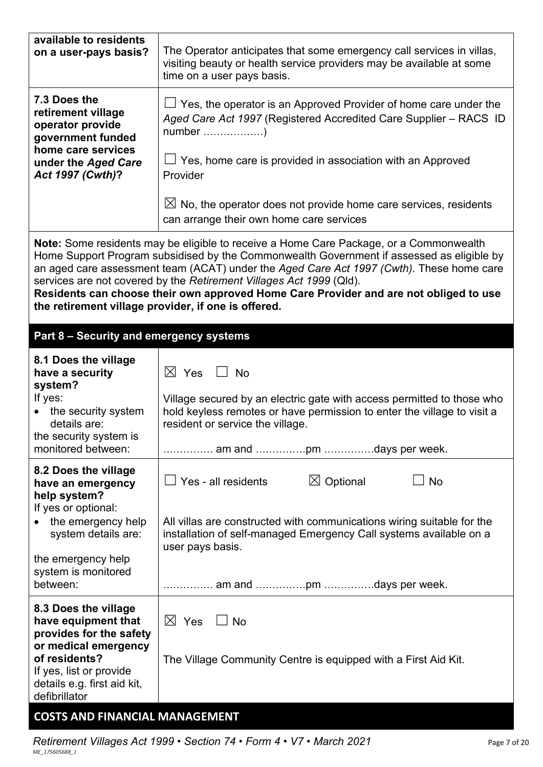| available to residents<br>on a user-pays basis?                                                                                  | The Operator anticipates that some emergency call services in villas,<br>visiting beauty or health service providers may be available at some<br>time on a user pays basis.                                                                                                                                                                                                                                                                     |  |  |  |
|----------------------------------------------------------------------------------------------------------------------------------|-------------------------------------------------------------------------------------------------------------------------------------------------------------------------------------------------------------------------------------------------------------------------------------------------------------------------------------------------------------------------------------------------------------------------------------------------|--|--|--|
| 7.3 Does the<br>retirement village<br>operator provide<br>government funded                                                      | $\Box$ Yes, the operator is an Approved Provider of home care under the<br>Aged Care Act 1997 (Registered Accredited Care Supplier - RACS ID                                                                                                                                                                                                                                                                                                    |  |  |  |
| home care services<br>under the Aged Care<br>Act 1997 (Cwth)?                                                                    | $\Box$ Yes, home care is provided in association with an Approved<br>Provider                                                                                                                                                                                                                                                                                                                                                                   |  |  |  |
|                                                                                                                                  | $\boxtimes$ No, the operator does not provide home care services, residents<br>can arrange their own home care services                                                                                                                                                                                                                                                                                                                         |  |  |  |
| the retirement village provider, if one is offered.                                                                              | Note: Some residents may be eligible to receive a Home Care Package, or a Commonwealth<br>Home Support Program subsidised by the Commonwealth Government if assessed as eligible by<br>an aged care assessment team (ACAT) under the Aged Care Act 1997 (Cwth). These home care<br>services are not covered by the Retirement Villages Act 1999 (Qld).<br>Residents can choose their own approved Home Care Provider and are not obliged to use |  |  |  |
| Part 8 - Security and emergency systems                                                                                          |                                                                                                                                                                                                                                                                                                                                                                                                                                                 |  |  |  |
| 8.1 Does the village<br>have a security<br>system?<br>If yes:<br>• the security system<br>details are:<br>the security system is | $\boxtimes$ Yes $\quad \Box$ No<br>Village secured by an electric gate with access permitted to those who<br>hold keyless remotes or have permission to enter the village to visit a<br>resident or service the village.                                                                                                                                                                                                                        |  |  |  |
| monitored between:                                                                                                               | am and pm days per week.                                                                                                                                                                                                                                                                                                                                                                                                                        |  |  |  |
| 8.2 Does the village<br>have an emergency<br>help system?                                                                        | Yes - all residents<br>$\boxtimes$ Optional<br>No                                                                                                                                                                                                                                                                                                                                                                                               |  |  |  |
| If yes or optional:<br>the emergency help<br>system details are:                                                                 | All villas are constructed with communications wiring suitable for the<br>installation of self-managed Emergency Call systems available on a<br>user pays basis.                                                                                                                                                                                                                                                                                |  |  |  |
| the emergency help<br>system is monitored<br>between:                                                                            | am and pm days per week.                                                                                                                                                                                                                                                                                                                                                                                                                        |  |  |  |
| 8.3 Does the village<br>have equipment that<br>provides for the safety<br>or medical emergency                                   | $\boxtimes$ Yes<br>$\Box$ No                                                                                                                                                                                                                                                                                                                                                                                                                    |  |  |  |
| of residents?<br>If yes, list or provide<br>details e.g. first aid kit,<br>defibrillator                                         | The Village Community Centre is equipped with a First Aid Kit.                                                                                                                                                                                                                                                                                                                                                                                  |  |  |  |
| <b>COSTS AND FINANCIAL MANAGEMENT</b>                                                                                            |                                                                                                                                                                                                                                                                                                                                                                                                                                                 |  |  |  |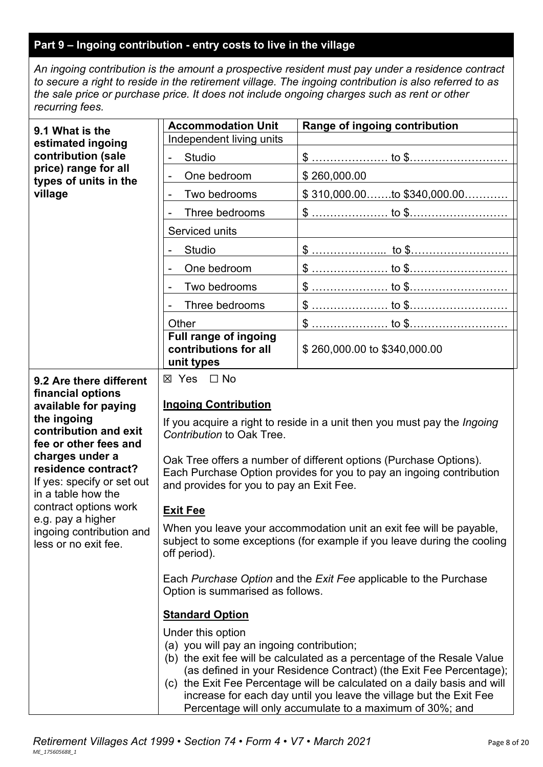## **Part 9 – Ingoing contribution - entry costs to live in the village**

*An ingoing contribution is the amount a prospective resident must pay under a residence contract to secure a right to reside in the retirement village. The ingoing contribution is also referred to as the sale price or purchase price. It does not include ongoing charges such as rent or other recurring fees.*

| 9.1 What is the                                                       | <b>Accommodation Unit</b><br>Range of ingoing contribution                                                                                    |                                                                                                                                                |  |
|-----------------------------------------------------------------------|-----------------------------------------------------------------------------------------------------------------------------------------------|------------------------------------------------------------------------------------------------------------------------------------------------|--|
| estimated ingoing                                                     | Independent living units                                                                                                                      |                                                                                                                                                |  |
| contribution (sale                                                    | <b>Studio</b>                                                                                                                                 |                                                                                                                                                |  |
| price) range for all<br>types of units in the                         | One bedroom<br>$\blacksquare$                                                                                                                 | \$260,000.00                                                                                                                                   |  |
| village                                                               | Two bedrooms                                                                                                                                  | $$310,000.00$ to $$340,000.00$                                                                                                                 |  |
|                                                                       | Three bedrooms                                                                                                                                |                                                                                                                                                |  |
|                                                                       | Serviced units                                                                                                                                |                                                                                                                                                |  |
|                                                                       | Studio                                                                                                                                        |                                                                                                                                                |  |
|                                                                       | One bedroom                                                                                                                                   |                                                                                                                                                |  |
|                                                                       | Two bedrooms                                                                                                                                  |                                                                                                                                                |  |
|                                                                       | Three bedrooms                                                                                                                                | \$  to \$ <u></u>                                                                                                                              |  |
|                                                                       | Other                                                                                                                                         |                                                                                                                                                |  |
|                                                                       | Full range of ingoing<br>contributions for all<br>unit types                                                                                  | \$260,000.00 to \$340,000.00                                                                                                                   |  |
| 9.2 Are there different                                               | ⊠ Yes □ No                                                                                                                                    |                                                                                                                                                |  |
| financial options<br>available for paying                             | <b>Ingoing Contribution</b>                                                                                                                   |                                                                                                                                                |  |
| the ingoing                                                           | If you acquire a right to reside in a unit then you must pay the <i>Ingoing</i>                                                               |                                                                                                                                                |  |
| contribution and exit<br>fee or other fees and                        | Contribution to Oak Tree.                                                                                                                     |                                                                                                                                                |  |
| charges under a<br>residence contract?                                | Oak Tree offers a number of different options (Purchase Options).<br>Each Purchase Option provides for you to pay an ingoing contribution     |                                                                                                                                                |  |
| If yes: specify or set out<br>in a table how the                      | and provides for you to pay an Exit Fee.                                                                                                      |                                                                                                                                                |  |
| contract options work                                                 | <b>Exit Fee</b>                                                                                                                               |                                                                                                                                                |  |
| e.g. pay a higher<br>ingoing contribution and<br>less or no exit fee. |                                                                                                                                               | When you leave your accommodation unit an exit fee will be payable,<br>subject to some exceptions (for example if you leave during the cooling |  |
|                                                                       | off period).                                                                                                                                  |                                                                                                                                                |  |
|                                                                       | Each Purchase Option and the Exit Fee applicable to the Purchase<br>Option is summarised as follows.                                          |                                                                                                                                                |  |
|                                                                       | <b>Standard Option</b>                                                                                                                        |                                                                                                                                                |  |
|                                                                       | Under this option                                                                                                                             |                                                                                                                                                |  |
|                                                                       | (a) you will pay an ingoing contribution;                                                                                                     |                                                                                                                                                |  |
|                                                                       | (b) the exit fee will be calculated as a percentage of the Resale Value<br>(as defined in your Residence Contract) (the Exit Fee Percentage); |                                                                                                                                                |  |
|                                                                       | (c) the Exit Fee Percentage will be calculated on a daily basis and will                                                                      |                                                                                                                                                |  |
|                                                                       | increase for each day until you leave the village but the Exit Fee<br>Percentage will only accumulate to a maximum of 30%; and                |                                                                                                                                                |  |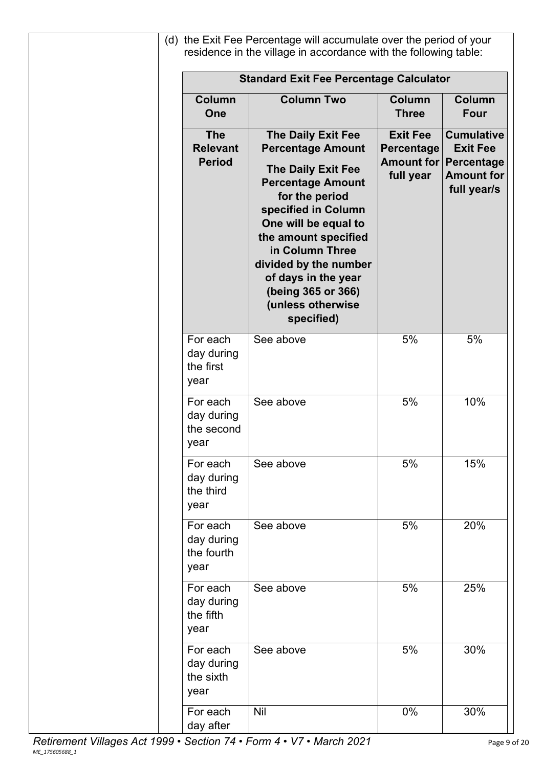|                                                | <b>Standard Exit Fee Percentage Calculator</b>                                                                                                                                                                                                                                                                               |                                            |                                                                                                          |
|------------------------------------------------|------------------------------------------------------------------------------------------------------------------------------------------------------------------------------------------------------------------------------------------------------------------------------------------------------------------------------|--------------------------------------------|----------------------------------------------------------------------------------------------------------|
| <b>Column</b><br>One                           | <b>Column Two</b>                                                                                                                                                                                                                                                                                                            | <b>Column</b><br><b>Three</b>              | <b>Column</b><br><b>Four</b>                                                                             |
| <b>The</b><br><b>Relevant</b><br><b>Period</b> | The Daily Exit Fee<br><b>Percentage Amount</b><br><b>The Daily Exit Fee</b><br><b>Percentage Amount</b><br>for the period<br>specified in Column<br>One will be equal to<br>the amount specified<br>in Column Three<br>divided by the number<br>of days in the year<br>(being 365 or 366)<br>(unless otherwise<br>specified) | <b>Exit Fee</b><br>Percentage<br>full year | <b>Cumulative</b><br><b>Exit Fee</b><br><b>Amount for Percentage</b><br><b>Amount for</b><br>full year/s |
| For each<br>day during<br>the first<br>year    | See above                                                                                                                                                                                                                                                                                                                    | 5%                                         | 5%                                                                                                       |
| For each<br>day during<br>the second<br>year   | See above                                                                                                                                                                                                                                                                                                                    | 5%                                         | 10%                                                                                                      |
| For each<br>day during<br>the third<br>year    | See above                                                                                                                                                                                                                                                                                                                    | 5%                                         | 15%                                                                                                      |
| For each<br>day during<br>the fourth<br>year   | See above                                                                                                                                                                                                                                                                                                                    | 5%                                         | 20%                                                                                                      |
| For each<br>day during<br>the fifth<br>year    | See above                                                                                                                                                                                                                                                                                                                    | 5%                                         | 25%                                                                                                      |
| For each<br>day during<br>the sixth<br>year    | See above                                                                                                                                                                                                                                                                                                                    | 5%                                         | 30%                                                                                                      |
| For each<br>day after                          | <b>Nil</b>                                                                                                                                                                                                                                                                                                                   | 0%                                         | 30%                                                                                                      |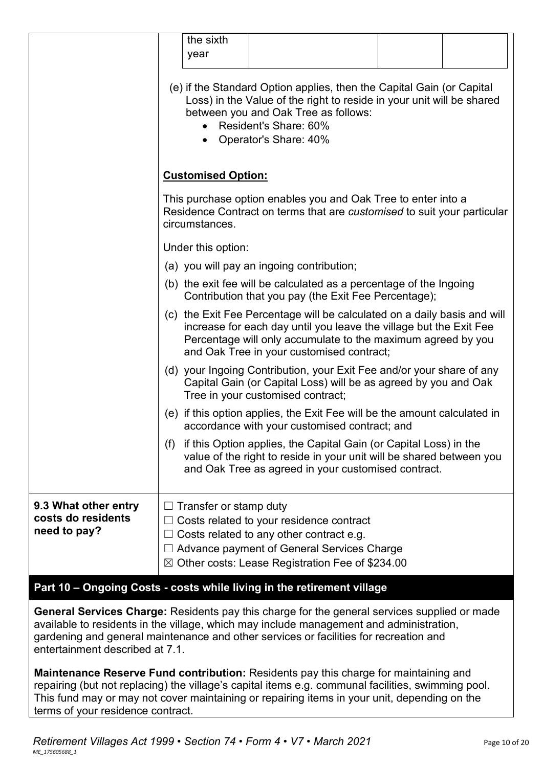|                                                            | the sixth<br>year                                                                                                                                                                                                                                           |                                                                                                                                                                                                   |  |  |
|------------------------------------------------------------|-------------------------------------------------------------------------------------------------------------------------------------------------------------------------------------------------------------------------------------------------------------|---------------------------------------------------------------------------------------------------------------------------------------------------------------------------------------------------|--|--|
|                                                            | (e) if the Standard Option applies, then the Capital Gain (or Capital<br>Loss) in the Value of the right to reside in your unit will be shared<br>between you and Oak Tree as follows:<br>Resident's Share: 60%<br>Operator's Share: 40%                    |                                                                                                                                                                                                   |  |  |
|                                                            | <b>Customised Option:</b>                                                                                                                                                                                                                                   |                                                                                                                                                                                                   |  |  |
|                                                            | This purchase option enables you and Oak Tree to enter into a<br>Residence Contract on terms that are customised to suit your particular<br>circumstances.                                                                                                  |                                                                                                                                                                                                   |  |  |
|                                                            | Under this option:                                                                                                                                                                                                                                          |                                                                                                                                                                                                   |  |  |
|                                                            |                                                                                                                                                                                                                                                             | (a) you will pay an ingoing contribution;                                                                                                                                                         |  |  |
|                                                            | (b) the exit fee will be calculated as a percentage of the Ingoing<br>Contribution that you pay (the Exit Fee Percentage);                                                                                                                                  |                                                                                                                                                                                                   |  |  |
|                                                            | (c) the Exit Fee Percentage will be calculated on a daily basis and will<br>increase for each day until you leave the village but the Exit Fee<br>Percentage will only accumulate to the maximum agreed by you<br>and Oak Tree in your customised contract; |                                                                                                                                                                                                   |  |  |
|                                                            | (d) your Ingoing Contribution, your Exit Fee and/or your share of any<br>Capital Gain (or Capital Loss) will be as agreed by you and Oak<br>Tree in your customised contract;                                                                               |                                                                                                                                                                                                   |  |  |
|                                                            |                                                                                                                                                                                                                                                             | (e) if this option applies, the Exit Fee will be the amount calculated in<br>accordance with your customised contract; and                                                                        |  |  |
|                                                            | (f)                                                                                                                                                                                                                                                         | if this Option applies, the Capital Gain (or Capital Loss) in the<br>value of the right to reside in your unit will be shared between you<br>and Oak Tree as agreed in your customised contract.  |  |  |
| 9.3 What other entry<br>costs do residents<br>need to pay? | Transfer or stamp duty                                                                                                                                                                                                                                      | Costs related to your residence contract<br>Costs related to any other contract e.g.<br>Advance payment of General Services Charge<br>$\boxtimes$ Other costs: Lease Registration Fee of \$234.00 |  |  |

### **Part 10 – Ongoing Costs - costs while living in the retirement village**

**General Services Charge:** Residents pay this charge for the general services supplied or made available to residents in the village, which may include management and administration, gardening and general maintenance and other services or facilities for recreation and entertainment described at 7.1.

**Maintenance Reserve Fund contribution:** Residents pay this charge for maintaining and repairing (but not replacing) the village's capital items e.g. communal facilities, swimming pool. This fund may or may not cover maintaining or repairing items in your unit, depending on the terms of your residence contract.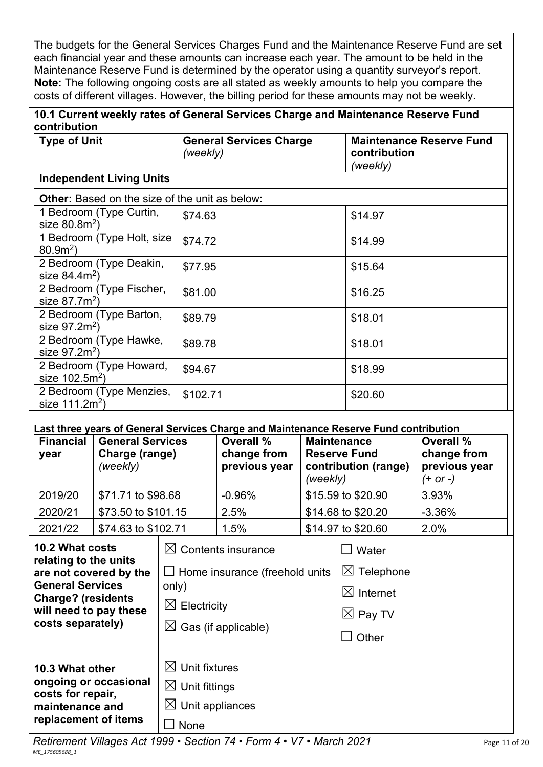The budgets for the General Services Charges Fund and the Maintenance Reserve Fund are set each financial year and these amounts can increase each year. The amount to be held in the Maintenance Reserve Fund is determined by the operator using a quantity surveyor's report. **Note:** The following ongoing costs are all stated as weekly amounts to help you compare the costs of different villages. However, the billing period for these amounts may not be weekly.

## **10.1 Current weekly rates of General Services Charge and Maintenance Reserve Fund contribution**

| <b>Type of Unit</b>                                   | <b>General Services Charge</b><br>(weekly) | <b>Maintenance Reserve Fund</b><br>contribution<br>(weekly) |
|-------------------------------------------------------|--------------------------------------------|-------------------------------------------------------------|
| <b>Independent Living Units</b>                       |                                            |                                                             |
| <b>Other:</b> Based on the size of the unit as below: |                                            |                                                             |
| 1 Bedroom (Type Curtin,<br>size $80.8m^2$ )           | \$74.63                                    | \$14.97                                                     |
| 1 Bedroom (Type Holt, size<br>$80.92$ )               | \$74.72                                    | \$14.99                                                     |
| 2 Bedroom (Type Deakin,<br>size $84.4m^2$ )           | \$77.95                                    | \$15.64                                                     |
| 2 Bedroom (Type Fischer,<br>size $87.7m2$ )           | \$81.00                                    | \$16.25                                                     |
| 2 Bedroom (Type Barton,<br>size $97.2m^2$ )           | \$89.79                                    | \$18.01                                                     |
| 2 Bedroom (Type Hawke,<br>size $97.2m^2$ )            | \$89.78                                    | \$18.01                                                     |
| 2 Bedroom (Type Howard,<br>size $102.5m^2$ )          | \$94.67                                    | \$18.99                                                     |
| 2 Bedroom (Type Menzies,<br>size $111.2m^2$ )         | \$102.71                                   | \$20.60                                                     |

#### **Last three years of General Services Charge and Maintenance Reserve Fund contribution**

| <b>Financial</b><br>year | <b>General Services</b><br>Charge (range)<br>(weekly) | Overall %<br>change from<br>previous year | <b>Maintenance</b><br><b>Reserve Fund</b><br>contribution (range)<br>(weekly) | Overall %<br>change from<br>previous year<br>(+ or -) |
|--------------------------|-------------------------------------------------------|-------------------------------------------|-------------------------------------------------------------------------------|-------------------------------------------------------|
| 2019/20                  | \$71.71 to \$98.68                                    | $-0.96%$                                  | \$15.59 to \$20.90                                                            | 3.93%                                                 |
| 2020/21                  | \$73.50 to \$101.15                                   | 2.5%                                      | \$14.68 to \$20.20                                                            | $-3.36%$                                              |
| 2021/22                  | \$74.63 to \$102.71                                   | 1.5%                                      | \$14.97 to \$20.60                                                            | 2.0%                                                  |

| 10.2 What costs<br>relating to the units          | $\boxtimes$ Contents insurance        | Water                    |
|---------------------------------------------------|---------------------------------------|--------------------------|
| are not covered by the<br><b>General Services</b> | $\Box$ Home insurance (freehold units | $\boxtimes$<br>Telephone |
| <b>Charge? (residents</b>                         | only)                                 | $\boxtimes$ Internet     |
| will need to pay these<br>costs separately)       | $\boxtimes$ Electricity               | $\boxtimes$ Pay TV       |
|                                                   | $\boxtimes$ Gas (if applicable)       | Other                    |
| 10.3 What other                                   | $\boxtimes$ Unit fixtures             |                          |
| ongoing or occasional<br>costs for repair,        | $\boxtimes$ Unit fittings             |                          |
| maintenance and                                   | $\boxtimes$ Unit appliances           |                          |
| replacement of items                              | None                                  |                          |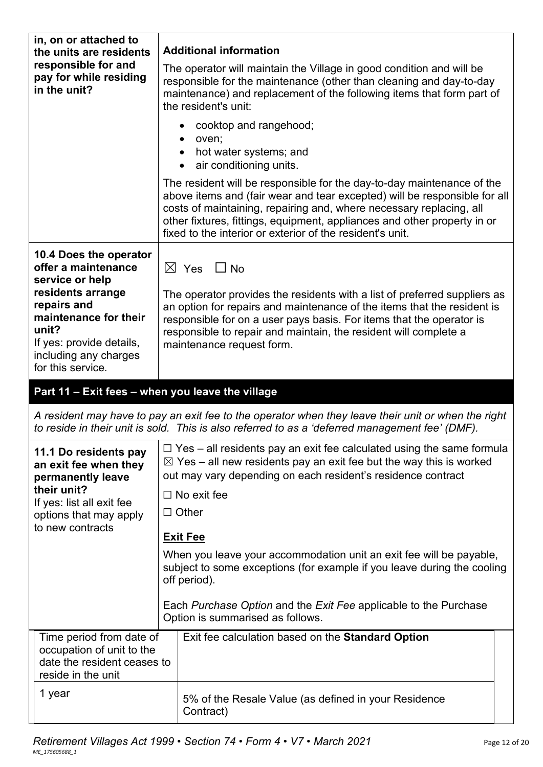| in, on or attached to<br>the units are residents                                                                                           | <b>Additional information</b>                                                                                                                                                                                                                                                                                                                                       |
|--------------------------------------------------------------------------------------------------------------------------------------------|---------------------------------------------------------------------------------------------------------------------------------------------------------------------------------------------------------------------------------------------------------------------------------------------------------------------------------------------------------------------|
| responsible for and<br>pay for while residing<br>in the unit?                                                                              | The operator will maintain the Village in good condition and will be<br>responsible for the maintenance (other than cleaning and day-to-day<br>maintenance) and replacement of the following items that form part of<br>the resident's unit:                                                                                                                        |
|                                                                                                                                            | cooktop and rangehood;<br>oven;                                                                                                                                                                                                                                                                                                                                     |
|                                                                                                                                            | hot water systems; and<br>$\bullet$<br>air conditioning units.                                                                                                                                                                                                                                                                                                      |
|                                                                                                                                            | The resident will be responsible for the day-to-day maintenance of the<br>above items and (fair wear and tear excepted) will be responsible for all<br>costs of maintaining, repairing and, where necessary replacing, all<br>other fixtures, fittings, equipment, appliances and other property in or<br>fixed to the interior or exterior of the resident's unit. |
| 10.4 Does the operator<br>offer a maintenance                                                                                              | $\boxtimes$ Yes $\Box$ No                                                                                                                                                                                                                                                                                                                                           |
| service or help<br>residents arrange<br>repairs and<br>maintenance for their<br>unit?<br>If yes: provide details,<br>including any charges | The operator provides the residents with a list of preferred suppliers as<br>an option for repairs and maintenance of the items that the resident is<br>responsible for on a user pays basis. For items that the operator is<br>responsible to repair and maintain, the resident will complete a<br>maintenance request form.                                       |
|                                                                                                                                            |                                                                                                                                                                                                                                                                                                                                                                     |
| for this service.                                                                                                                          |                                                                                                                                                                                                                                                                                                                                                                     |
| Part 11 - Exit fees - when you leave the village                                                                                           |                                                                                                                                                                                                                                                                                                                                                                     |
|                                                                                                                                            | A resident may have to pay an exit fee to the operator when they leave their unit or when the right<br>to reside in their unit is sold. This is also referred to as a 'deferred management fee' (DMF).                                                                                                                                                              |
| 11.1 Do residents pay<br>an exit fee when they<br>permanently leave                                                                        | $\Box$ Yes – all residents pay an exit fee calculated using the same formula<br>$\boxtimes$ Yes – all new residents pay an exit fee but the way this is worked<br>out may vary depending on each resident's residence contract                                                                                                                                      |
| their unit?                                                                                                                                | $\Box$ No exit fee                                                                                                                                                                                                                                                                                                                                                  |
| If yes: list all exit fee<br>options that may apply                                                                                        | $\Box$ Other                                                                                                                                                                                                                                                                                                                                                        |
| to new contracts                                                                                                                           | <b>Exit Fee</b>                                                                                                                                                                                                                                                                                                                                                     |
|                                                                                                                                            | When you leave your accommodation unit an exit fee will be payable,<br>subject to some exceptions (for example if you leave during the cooling<br>off period).                                                                                                                                                                                                      |
|                                                                                                                                            | Each Purchase Option and the Exit Fee applicable to the Purchase<br>Option is summarised as follows.                                                                                                                                                                                                                                                                |
| Time period from date of<br>occupation of unit to the<br>date the resident ceases to<br>reside in the unit                                 | Exit fee calculation based on the <b>Standard Option</b>                                                                                                                                                                                                                                                                                                            |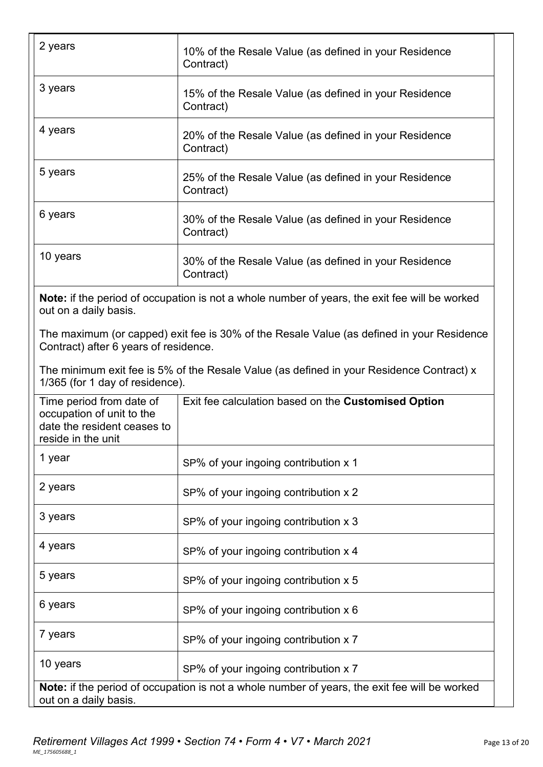| 2 years                                                                                                    | 10% of the Resale Value (as defined in your Residence<br>Contract)                                   |
|------------------------------------------------------------------------------------------------------------|------------------------------------------------------------------------------------------------------|
| 3 years                                                                                                    | 15% of the Resale Value (as defined in your Residence<br>Contract)                                   |
| 4 years                                                                                                    | 20% of the Resale Value (as defined in your Residence<br>Contract)                                   |
| 5 years                                                                                                    | 25% of the Resale Value (as defined in your Residence<br>Contract)                                   |
| 6 years                                                                                                    | 30% of the Resale Value (as defined in your Residence<br>Contract)                                   |
| 10 years                                                                                                   | 30% of the Resale Value (as defined in your Residence<br>Contract)                                   |
| out on a daily basis.                                                                                      | <b>Note:</b> if the period of occupation is not a whole number of years, the exit fee will be worked |
| Contract) after 6 years of residence.                                                                      | The maximum (or capped) exit fee is 30% of the Resale Value (as defined in your Residence            |
| 1/365 (for 1 day of residence).                                                                            | The minimum exit fee is 5% of the Resale Value (as defined in your Residence Contract) x             |
| Time period from date of<br>occupation of unit to the<br>date the resident ceases to<br>reside in the unit | Exit fee calculation based on the Customised Option                                                  |
| 1 year                                                                                                     | SP% of your ingoing contribution x 1                                                                 |
| 2 years                                                                                                    | SP% of your ingoing contribution x 2                                                                 |
| 3 years                                                                                                    | SP% of your ingoing contribution x 3                                                                 |
| 4 years                                                                                                    | SP% of your ingoing contribution x 4                                                                 |
| 5 years                                                                                                    | SP% of your ingoing contribution x 5                                                                 |
| 6 years                                                                                                    | SP% of your ingoing contribution x 6                                                                 |
| 7 years                                                                                                    | SP% of your ingoing contribution x 7                                                                 |
| 10 years                                                                                                   | SP% of your ingoing contribution x 7                                                                 |
| out on a daily basis.                                                                                      | Note: if the period of occupation is not a whole number of years, the exit fee will be worked        |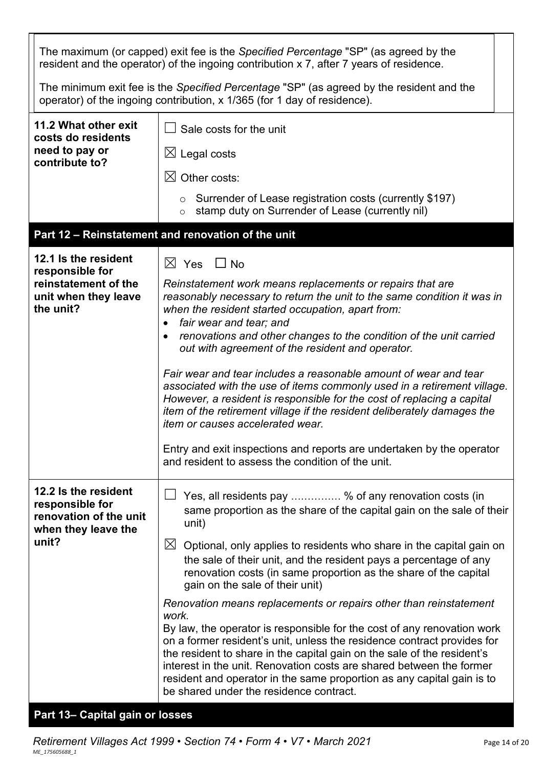|                                                                                          | The maximum (or capped) exit fee is the Specified Percentage "SP" (as agreed by the<br>resident and the operator) of the ingoing contribution x 7, after 7 years of residence.                                                                                                                                                                                                                                             |
|------------------------------------------------------------------------------------------|----------------------------------------------------------------------------------------------------------------------------------------------------------------------------------------------------------------------------------------------------------------------------------------------------------------------------------------------------------------------------------------------------------------------------|
|                                                                                          | The minimum exit fee is the Specified Percentage "SP" (as agreed by the resident and the<br>operator) of the ingoing contribution, x 1/365 (for 1 day of residence).                                                                                                                                                                                                                                                       |
| 11.2 What other exit<br>costs do residents                                               | Sale costs for the unit                                                                                                                                                                                                                                                                                                                                                                                                    |
| need to pay or<br>contribute to?                                                         | $\boxtimes$ Legal costs                                                                                                                                                                                                                                                                                                                                                                                                    |
|                                                                                          | Other costs:<br>$\bowtie$                                                                                                                                                                                                                                                                                                                                                                                                  |
|                                                                                          | $\circ$ Surrender of Lease registration costs (currently \$197)<br>stamp duty on Surrender of Lease (currently nil)<br>$\circ$                                                                                                                                                                                                                                                                                             |
|                                                                                          | Part 12 - Reinstatement and renovation of the unit                                                                                                                                                                                                                                                                                                                                                                         |
| 12.1 Is the resident<br>responsible for                                                  | $\boxtimes$ Yes $\Box$ No                                                                                                                                                                                                                                                                                                                                                                                                  |
| reinstatement of the<br>unit when they leave<br>the unit?                                | Reinstatement work means replacements or repairs that are<br>reasonably necessary to return the unit to the same condition it was in<br>when the resident started occupation, apart from:<br>fair wear and tear; and<br>renovations and other changes to the condition of the unit carried<br>out with agreement of the resident and operator.                                                                             |
|                                                                                          | Fair wear and tear includes a reasonable amount of wear and tear<br>associated with the use of items commonly used in a retirement village.<br>However, a resident is responsible for the cost of replacing a capital<br>item of the retirement village if the resident deliberately damages the<br>item or causes accelerated wear.                                                                                       |
|                                                                                          | Entry and exit inspections and reports are undertaken by the operator<br>and resident to assess the condition of the unit.                                                                                                                                                                                                                                                                                                 |
| 12.2 Is the resident<br>responsible for<br>renovation of the unit<br>when they leave the | Yes, all residents pay  % of any renovation costs (in<br>same proportion as the share of the capital gain on the sale of their<br>unit)                                                                                                                                                                                                                                                                                    |
| unit?                                                                                    | $\boxtimes$<br>Optional, only applies to residents who share in the capital gain on<br>the sale of their unit, and the resident pays a percentage of any<br>renovation costs (in same proportion as the share of the capital<br>gain on the sale of their unit)                                                                                                                                                            |
|                                                                                          | Renovation means replacements or repairs other than reinstatement<br>work.                                                                                                                                                                                                                                                                                                                                                 |
|                                                                                          | By law, the operator is responsible for the cost of any renovation work<br>on a former resident's unit, unless the residence contract provides for<br>the resident to share in the capital gain on the sale of the resident's<br>interest in the unit. Renovation costs are shared between the former<br>resident and operator in the same proportion as any capital gain is to<br>be shared under the residence contract. |

## **Part 13– Capital gain or losses**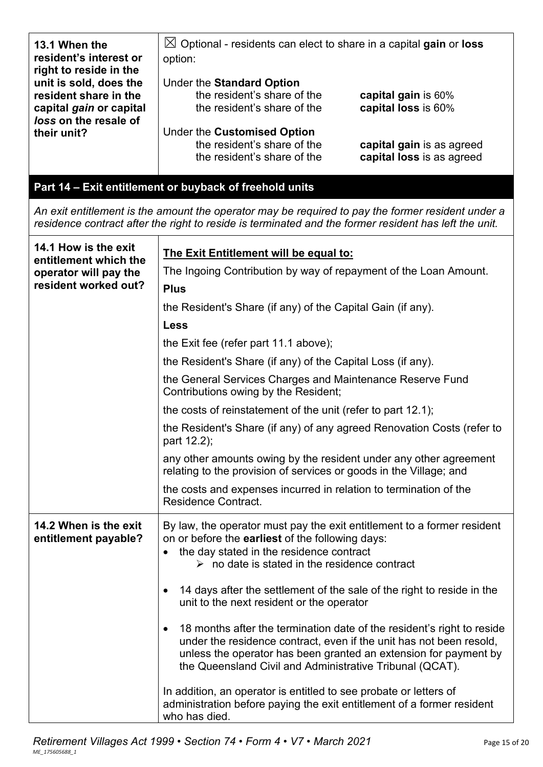| 13.1 When the<br>resident's interest or<br>right to reside in the          | $\boxtimes$ Optional - residents can elect to share in a capital gain or loss<br>option:                                                                                                                                                                                      |
|----------------------------------------------------------------------------|-------------------------------------------------------------------------------------------------------------------------------------------------------------------------------------------------------------------------------------------------------------------------------|
| unit is sold, does the<br>resident share in the<br>capital gain or capital | Under the Standard Option<br>the resident's share of the<br>capital gain is 60%<br>the resident's share of the<br>capital loss is 60%                                                                                                                                         |
| loss on the resale of<br>their unit?                                       | Under the Customised Option<br>the resident's share of the<br>capital gain is as agreed<br>the resident's share of the<br>capital loss is as agreed                                                                                                                           |
|                                                                            | Part 14 - Exit entitlement or buyback of freehold units                                                                                                                                                                                                                       |
|                                                                            | An exit entitlement is the amount the operator may be required to pay the former resident under a<br>residence contract after the right to reside is terminated and the former resident has left the unit.                                                                    |
| 14.1 How is the exit                                                       | The Exit Entitlement will be equal to:                                                                                                                                                                                                                                        |
| entitlement which the<br>operator will pay the                             | The Ingoing Contribution by way of repayment of the Loan Amount.                                                                                                                                                                                                              |
| resident worked out?                                                       | <b>Plus</b>                                                                                                                                                                                                                                                                   |
|                                                                            | the Resident's Share (if any) of the Capital Gain (if any).                                                                                                                                                                                                                   |
|                                                                            | <b>Less</b>                                                                                                                                                                                                                                                                   |
|                                                                            | the Exit fee (refer part 11.1 above);                                                                                                                                                                                                                                         |
|                                                                            | the Resident's Share (if any) of the Capital Loss (if any).                                                                                                                                                                                                                   |
|                                                                            | the General Services Charges and Maintenance Reserve Fund<br>Contributions owing by the Resident;                                                                                                                                                                             |
|                                                                            | the costs of reinstatement of the unit (refer to part 12.1);                                                                                                                                                                                                                  |
|                                                                            | the Resident's Share (if any) of any agreed Renovation Costs (refer to<br>part 12.2);                                                                                                                                                                                         |
|                                                                            | any other amounts owing by the resident under any other agreement<br>relating to the provision of services or goods in the Village; and                                                                                                                                       |
|                                                                            | the costs and expenses incurred in relation to termination of the<br><b>Residence Contract.</b>                                                                                                                                                                               |
| 14.2 When is the exit<br>entitlement payable?                              | By law, the operator must pay the exit entitlement to a former resident<br>on or before the <b>earliest</b> of the following days:<br>the day stated in the residence contract<br>$\triangleright$ no date is stated in the residence contract                                |
|                                                                            | 14 days after the settlement of the sale of the right to reside in the<br>unit to the next resident or the operator                                                                                                                                                           |
|                                                                            | 18 months after the termination date of the resident's right to reside<br>under the residence contract, even if the unit has not been resold,<br>unless the operator has been granted an extension for payment by<br>the Queensland Civil and Administrative Tribunal (QCAT). |
|                                                                            | In addition, an operator is entitled to see probate or letters of<br>administration before paying the exit entitlement of a former resident<br>who has died.                                                                                                                  |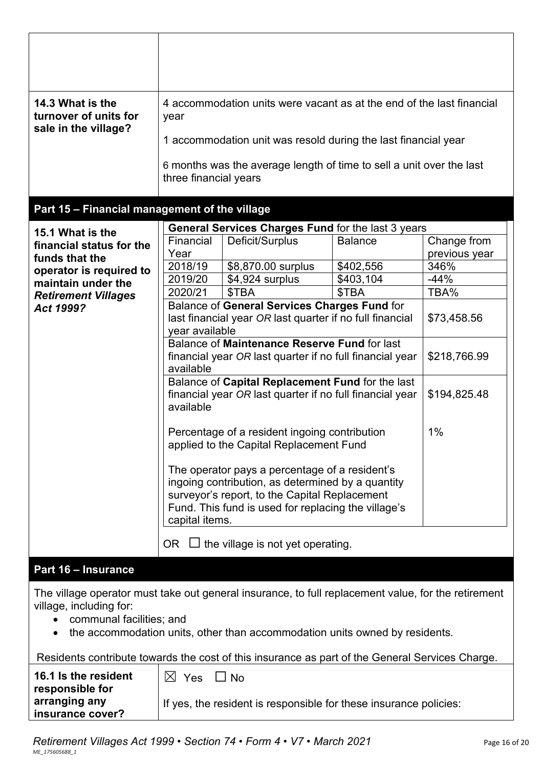| 14.3 What is the<br>turnover of units for<br>sale in the village?                                                                                          | year<br>three financial years | 4 accommodation units were vacant as at the end of the last financial<br>1 accommodation unit was resold during the last financial year<br>6 months was the average length of time to sell a unit over the last |                |                              |
|------------------------------------------------------------------------------------------------------------------------------------------------------------|-------------------------------|-----------------------------------------------------------------------------------------------------------------------------------------------------------------------------------------------------------------|----------------|------------------------------|
| Part 15 - Financial management of the village                                                                                                              |                               |                                                                                                                                                                                                                 |                |                              |
|                                                                                                                                                            |                               | General Services Charges Fund for the last 3 years                                                                                                                                                              |                |                              |
| 15.1 What is the<br>financial status for the<br>funds that the                                                                                             | Financial<br>Year             | Deficit/Surplus                                                                                                                                                                                                 | <b>Balance</b> | Change from<br>previous year |
| operator is required to                                                                                                                                    | 2018/19                       | \$8,870.00 surplus                                                                                                                                                                                              | \$402,556      | 346%                         |
| maintain under the                                                                                                                                         | 2019/20                       | \$4,924 surplus                                                                                                                                                                                                 | \$403,104      | $-44%$                       |
| <b>Retirement Villages</b>                                                                                                                                 | 2020/21                       | \$TBA                                                                                                                                                                                                           | \$TBA          | TBA%                         |
| Act 1999?                                                                                                                                                  |                               | Balance of General Services Charges Fund for<br>last financial year OR last quarter if no full financial                                                                                                        |                | \$73,458.56                  |
|                                                                                                                                                            | year available                |                                                                                                                                                                                                                 |                |                              |
|                                                                                                                                                            |                               | Balance of Maintenance Reserve Fund for last                                                                                                                                                                    |                |                              |
|                                                                                                                                                            |                               | financial year OR last quarter if no full financial year                                                                                                                                                        |                | \$218,766.99                 |
|                                                                                                                                                            | available                     |                                                                                                                                                                                                                 |                |                              |
|                                                                                                                                                            | available                     | Balance of Capital Replacement Fund for the last<br>financial year OR last quarter if no full financial year                                                                                                    |                | \$194,825.48                 |
|                                                                                                                                                            |                               | Percentage of a resident ingoing contribution<br>applied to the Capital Replacement Fund                                                                                                                        |                | 1%                           |
|                                                                                                                                                            |                               | The operator pays a percentage of a resident's<br>ingoing contribution, as determined by a quantity                                                                                                             |                |                              |
|                                                                                                                                                            | capital items.                | surveyor's report, to the Capital Replacement<br>Fund. This fund is used for replacing the village's                                                                                                            |                |                              |
|                                                                                                                                                            |                               | OR $\Box$ the village is not yet operating.                                                                                                                                                                     |                |                              |
| <b>Part 16 - Insurance</b>                                                                                                                                 |                               |                                                                                                                                                                                                                 |                |                              |
| The village operator must take out general insurance, to full replacement value, for the retirement<br>village, including for:<br>communal facilities; and |                               | the accommodation units, other than accommodation units owned by residents.                                                                                                                                     |                |                              |
| Residents contribute towards the cost of this insurance as part of the General Services Charge.                                                            |                               |                                                                                                                                                                                                                 |                |                              |
| 16.1 Is the resident<br>responsible for                                                                                                                    | $\boxtimes$ Yes               | $\Box$ No                                                                                                                                                                                                       |                |                              |
| arranging any<br>insurance cover?                                                                                                                          |                               | If yes, the resident is responsible for these insurance policies:                                                                                                                                               |                |                              |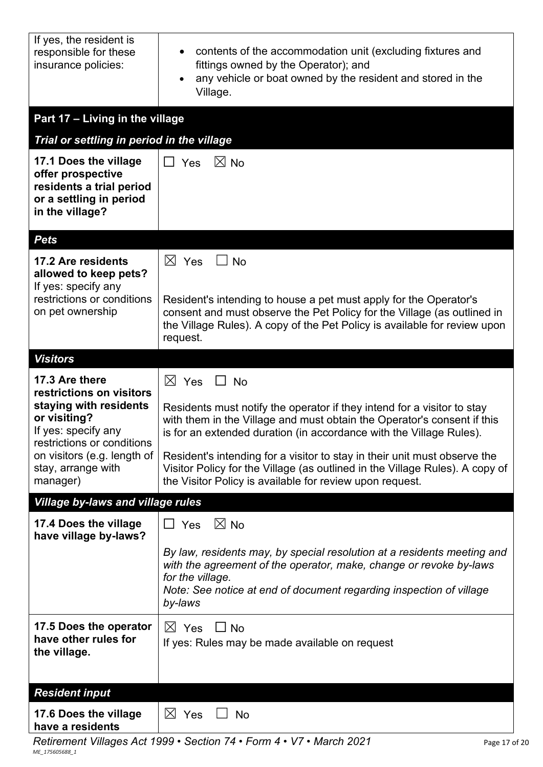| If yes, the resident is<br>responsible for these<br>insurance policies:                                              | contents of the accommodation unit (excluding fixtures and<br>fittings owned by the Operator); and<br>any vehicle or boat owned by the resident and stored in the<br>$\bullet$<br>Village.                                            |
|----------------------------------------------------------------------------------------------------------------------|---------------------------------------------------------------------------------------------------------------------------------------------------------------------------------------------------------------------------------------|
| Part 17 - Living in the village                                                                                      |                                                                                                                                                                                                                                       |
| Trial or settling in period in the village                                                                           |                                                                                                                                                                                                                                       |
| 17.1 Does the village<br>offer prospective<br>residents a trial period<br>or a settling in period<br>in the village? | $\boxtimes$ No<br>$\Box$ Yes                                                                                                                                                                                                          |
| <b>Pets</b>                                                                                                          |                                                                                                                                                                                                                                       |
| 17.2 Are residents<br>allowed to keep pets?<br>If yes: specify any                                                   | $\boxtimes$ Yes<br><b>No</b>                                                                                                                                                                                                          |
| restrictions or conditions<br>on pet ownership                                                                       | Resident's intending to house a pet must apply for the Operator's<br>consent and must observe the Pet Policy for the Village (as outlined in<br>the Village Rules). A copy of the Pet Policy is available for review upon<br>request. |
| <b>Visitors</b>                                                                                                      |                                                                                                                                                                                                                                       |
| 17.3 Are there<br>restrictions on visitors                                                                           | $\boxtimes$ Yes<br><b>No</b>                                                                                                                                                                                                          |
| staying with residents<br>or visiting?<br>If yes: specify any<br>restrictions or conditions                          | Residents must notify the operator if they intend for a visitor to stay<br>with them in the Village and must obtain the Operator's consent if this<br>is for an extended duration (in accordance with the Village Rules).             |
| on visitors (e.g. length of<br>stay, arrange with<br>manager)                                                        | Resident's intending for a visitor to stay in their unit must observe the<br>Visitor Policy for the Village (as outlined in the Village Rules). A copy of<br>the Visitor Policy is available for review upon request.                 |
| <b>Village by-laws and village rules</b>                                                                             |                                                                                                                                                                                                                                       |
| 17.4 Does the village<br>have village by-laws?                                                                       | $\boxtimes$ No<br>$\square$ Yes                                                                                                                                                                                                       |
|                                                                                                                      | By law, residents may, by special resolution at a residents meeting and<br>with the agreement of the operator, make, change or revoke by-laws<br>for the village.                                                                     |
|                                                                                                                      | Note: See notice at end of document regarding inspection of village<br>by-laws                                                                                                                                                        |
| 17.5 Does the operator<br>have other rules for<br>the village.                                                       | $\Box$ No<br>$\boxtimes$ Yes<br>If yes: Rules may be made available on request                                                                                                                                                        |
| <b>Resident input</b>                                                                                                |                                                                                                                                                                                                                                       |
| 17.6 Does the village<br>have a residents                                                                            | $\boxtimes$ Yes<br><b>No</b>                                                                                                                                                                                                          |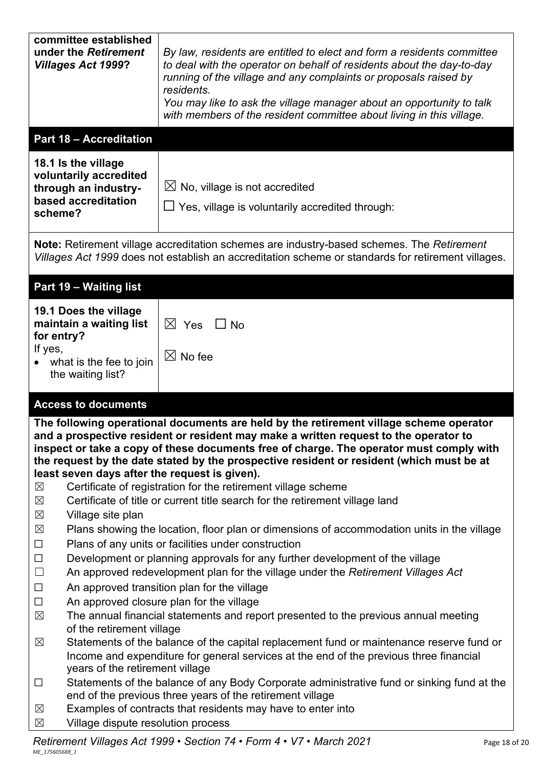| committee established<br>under the Retirement<br><b>Villages Act 1999?</b>                                                | By law, residents are entitled to elect and form a residents committee<br>to deal with the operator on behalf of residents about the day-to-day<br>running of the village and any complaints or proposals raised by<br>residents.<br>You may like to ask the village manager about an opportunity to talk<br>with members of the resident committee about living in this village.                                                      |
|---------------------------------------------------------------------------------------------------------------------------|----------------------------------------------------------------------------------------------------------------------------------------------------------------------------------------------------------------------------------------------------------------------------------------------------------------------------------------------------------------------------------------------------------------------------------------|
| <b>Part 18 - Accreditation</b>                                                                                            |                                                                                                                                                                                                                                                                                                                                                                                                                                        |
| 18.1 Is the village<br>voluntarily accredited<br>through an industry-<br>based accreditation<br>scheme?                   | $\boxtimes$ No, village is not accredited<br>$\Box$ Yes, village is voluntarily accredited through:                                                                                                                                                                                                                                                                                                                                    |
|                                                                                                                           | Note: Retirement village accreditation schemes are industry-based schemes. The Retirement<br>Villages Act 1999 does not establish an accreditation scheme or standards for retirement villages.                                                                                                                                                                                                                                        |
| Part 19 - Waiting list                                                                                                    |                                                                                                                                                                                                                                                                                                                                                                                                                                        |
| 19.1 Does the village<br>maintain a waiting list<br>for entry?<br>If yes,<br>what is the fee to join<br>the waiting list? | $\boxtimes$ Yes<br>$\Box$ No<br>$\boxtimes$ No fee                                                                                                                                                                                                                                                                                                                                                                                     |
|                                                                                                                           |                                                                                                                                                                                                                                                                                                                                                                                                                                        |
| <b>Access to documents</b>                                                                                                |                                                                                                                                                                                                                                                                                                                                                                                                                                        |
| least seven days after the request is given).<br>$\boxtimes$                                                              | The following operational documents are held by the retirement village scheme operator<br>and a prospective resident or resident may make a written request to the operator to<br>inspect or take a copy of these documents free of charge. The operator must comply with<br>the request by the date stated by the prospective resident or resident (which must be at<br>Certificate of registration for the retirement village scheme |
| $\boxtimes$                                                                                                               | Certificate of title or current title search for the retirement village land                                                                                                                                                                                                                                                                                                                                                           |
| $\boxtimes$<br>Village site plan<br>$\boxtimes$<br>$\Box$                                                                 | Plans showing the location, floor plan or dimensions of accommodation units in the village<br>Plans of any units or facilities under construction                                                                                                                                                                                                                                                                                      |
| $\Box$<br>$\Box$<br>$\Box$                                                                                                | Development or planning approvals for any further development of the village<br>An approved redevelopment plan for the village under the Retirement Villages Act<br>An approved transition plan for the village                                                                                                                                                                                                                        |
| $\Box$<br>$\boxtimes$                                                                                                     | An approved closure plan for the village<br>The annual financial statements and report presented to the previous annual meeting                                                                                                                                                                                                                                                                                                        |
| of the retirement village<br>$\boxtimes$<br>years of the retirement village                                               | Statements of the balance of the capital replacement fund or maintenance reserve fund or<br>Income and expenditure for general services at the end of the previous three financial                                                                                                                                                                                                                                                     |
| $\Box$                                                                                                                    | Statements of the balance of any Body Corporate administrative fund or sinking fund at the<br>end of the previous three years of the retirement village<br>Examples of contracts that residents may have to enter into                                                                                                                                                                                                                 |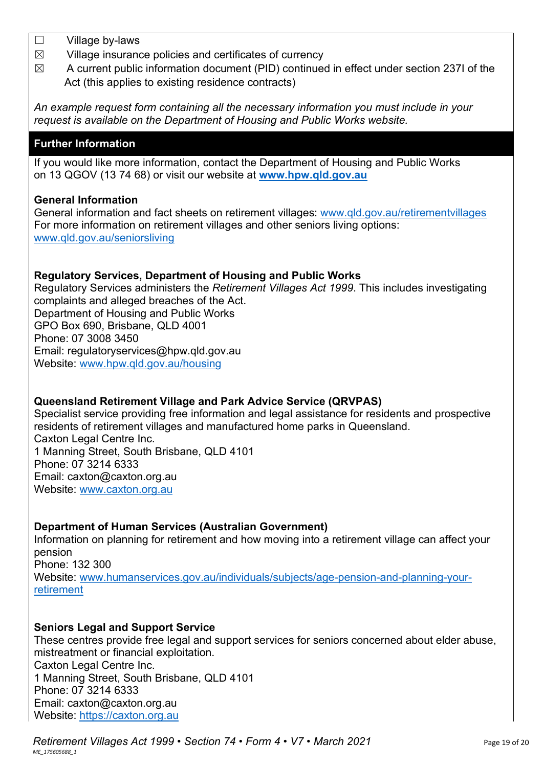- ☐ Village by-laws
- $\boxtimes$  Village insurance policies and certificates of currency
- $\boxtimes$  A current public information document (PID) continued in effect under section 237I of the Act (this applies to existing residence contracts)

*An example request form containing all the necessary information you must include in your request is available on the Department of Housing and Public Works website.*

## **Further Information**

If you would like more information, contact the Department of Housing and Public Works on 13 QGOV (13 74 68) or visit our website at **[www.hpw.qld.gov.au](http://www.hpw.qld.gov.au/)**

### **General Information**

General information and fact sheets on retirement villages: [www.qld.gov.au/retirementvillages](http://www.qld.gov.au/retirementvillages) For more information on retirement villages and other seniors living options: [www.qld.gov.au/seniorsliving](http://www.qld.gov.au/seniorsliving)

### **Regulatory Services, Department of Housing and Public Works**

Regulatory Services administers the *Retirement Villages Act 1999*. This includes investigating complaints and alleged breaches of the Act. Department of Housing and Public Works GPO Box 690, Brisbane, QLD 4001 Phone: 07 3008 3450 Email: regulatoryservices@hpw.qld.gov.au Website: [www.hpw.qld.gov.au/housing](http://www.hpw.qld.gov.au/housing)

### **Queensland Retirement Village and Park Advice Service (QRVPAS)**

Specialist service providing free information and legal assistance for residents and prospective residents of retirement villages and manufactured home parks in Queensland. Caxton Legal Centre Inc. 1 Manning Street, South Brisbane, QLD 4101 Phone: 07 3214 6333 Email: caxton@caxton.org.au Website: [www.caxton.org.au](http://www.caxton.org.au/)

### **Department of Human Services (Australian Government)**

Information on planning for retirement and how moving into a retirement village can affect your pension Phone: 132 300 Website: www.humanservices.gov.au/individuals/subjects/age-pension-and-planning-yourretirement

### **Seniors Legal and Support Service**

These centres provide free legal and support services for seniors concerned about elder abuse, mistreatment or financial exploitation. Caxton Legal Centre Inc. 1 Manning Street, South Brisbane, QLD 4101 Phone: 07 3214 6333 Email: caxton@caxton.org.au Website: [https://caxton.org.au](https://caxton.org.au/)